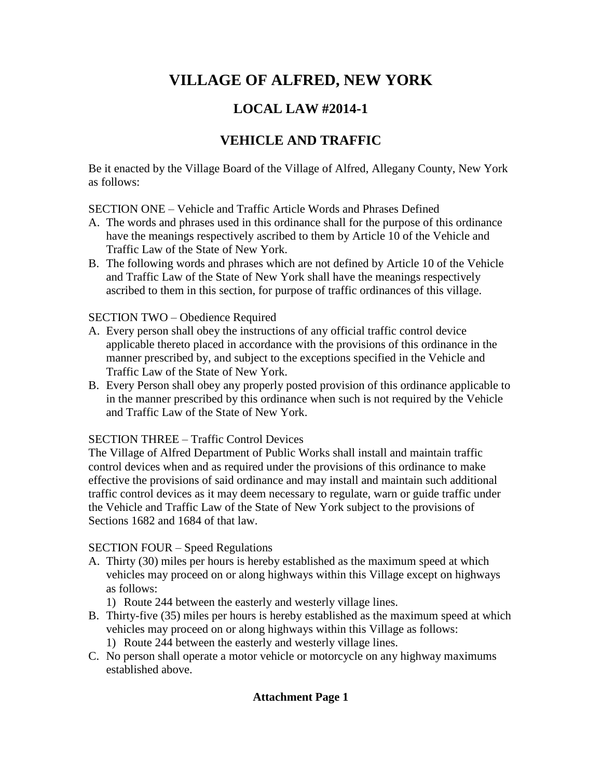# **VILLAGE OF ALFRED, NEW YORK**

# **LOCAL LAW #2014-1**

# **VEHICLE AND TRAFFIC**

Be it enacted by the Village Board of the Village of Alfred, Allegany County, New York as follows:

SECTION ONE – Vehicle and Traffic Article Words and Phrases Defined

- A. The words and phrases used in this ordinance shall for the purpose of this ordinance have the meanings respectively ascribed to them by Article 10 of the Vehicle and Traffic Law of the State of New York.
- B. The following words and phrases which are not defined by Article 10 of the Vehicle and Traffic Law of the State of New York shall have the meanings respectively ascribed to them in this section, for purpose of traffic ordinances of this village.<br>SECTION TWO – Obedience Required

- A. Every person shall obey the instructions of any official traffic control device applicable thereto placed in accordance with the provisions of this ordinance in the manner prescribed by, and subject to the exceptions specified in the Vehicle and Traffic Law of the State of New York.
- B. Every Person shall obey any properly posted provision of this ordinance applicable to in the manner prescribed by this ordinance when such is not required by the Vehicle and Traffic Law of the State of New York.

# **SECTION THREE – Traffic Control Devices**

The Village of Alfred Department of Public Works shall install and maintain traffic control devices when and as required under the provisions of this ordinance to make effective the provisions of said ordinance and may install and maintain such additional traffic control devices as itmay deem necessary to regulate, warn or guide traffic under the Vehicle and Traffic Law of the State of New York subject to the provisions of Sections 1682 and 1684 of that law.

 $SECTION$  FOUR – Speed Regulations

- A. Thirty (30) miles per hours is hereby established as the maximum speed at which vehicles may proceed on or along highways within this Village except on highways as follows:
	- 1) Route 244 between the easterly and westerly village lines.
- B. Thirty-five (35) miles per hours is hereby established as the maximum speed at which vehicles may proceed on or along highways within this Village as follows:
	- 1) Route 244 between the easterly and westerly village lines.
- C. No person shall operate a motor vehicle or motorcycle on any highway maximums established above.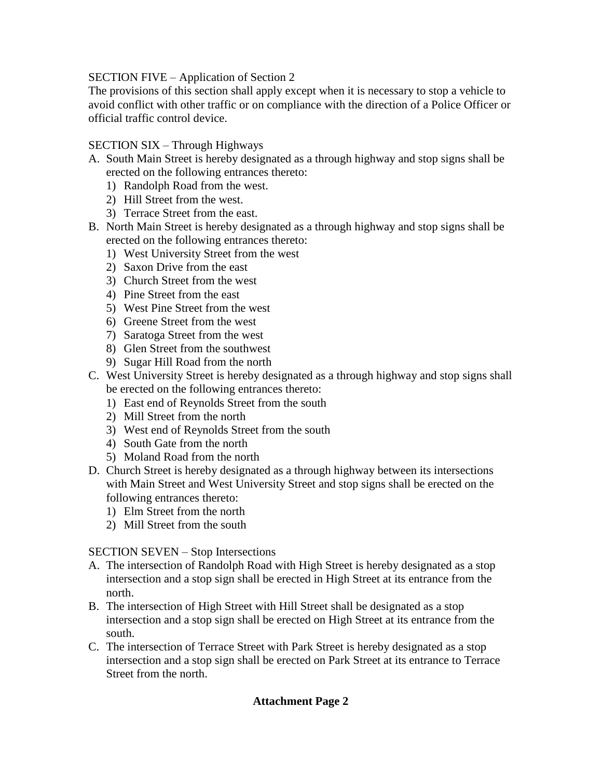### SECTION FIVE – Application of Section 2

The provisions of this section shall apply except when it is necessary to stop a vehicle to avoid conflict with other traffic or on compliance with the direction of a Police Officer or official traffic control device.

### $SECTION \, SIX - Through \, Highways$

- A. South Main Street is hereby designated as a through highway and stop signs shall be erected on the following entrances thereto:
	- 1) Randolph Road from the west.
	- 2) Hill Street from the west.<br>3) Terrace Street from the east.
	-
- B. North Main Street is hereby designated as a through highway and stop signs shall be erected on the following entrances thereto:
	- 1) West University Street from the west
	- 2) Saxon Drive from the east
	- 3) Church Street from the west
	- 4) Pine Street from the east
	- 5) West Pine Street from the west
	- 6) Greene Street from the west
	- 7) Saratoga Street from the west
	- 8) Glen Street from the southwest
	- 9) Sugar Hill Road from the north
- C. West University Street is hereby designated as a through highway and stop signs shall be erected on the following entrances thereto:
	- 1) East end of Reynolds Street from the south
	- 2) Mill Street from the north
	- 3) West end of Reynolds Street from the south
	- 4) South Gate from the north
	- 5) Moland Road from the north
- D. Church Street is hereby designated as a through highway between its intersections with Main Street and West University Street and stop signs shall be erected on the following entrances thereto:
	- 1) Elm Street from the north
	- 2) Mill Street from the south

SECTION SEVEN – Stop Intersections

- A. The intersection of Randolph Road with High Street is hereby designated as a stop intersection and a stop sign shall be erected in High Street at its entrance from the north.
- B. The intersection of High Street with Hill Street shall be designated as a stop intersection and a stop sign shall be erected on High Street at its entrance from the south.
- C. The intersection of Terrace Street with Park Street is hereby designated as a stop intersection and a stop sign shall be erected on Park Street at its entrance to Terrace Street from the north.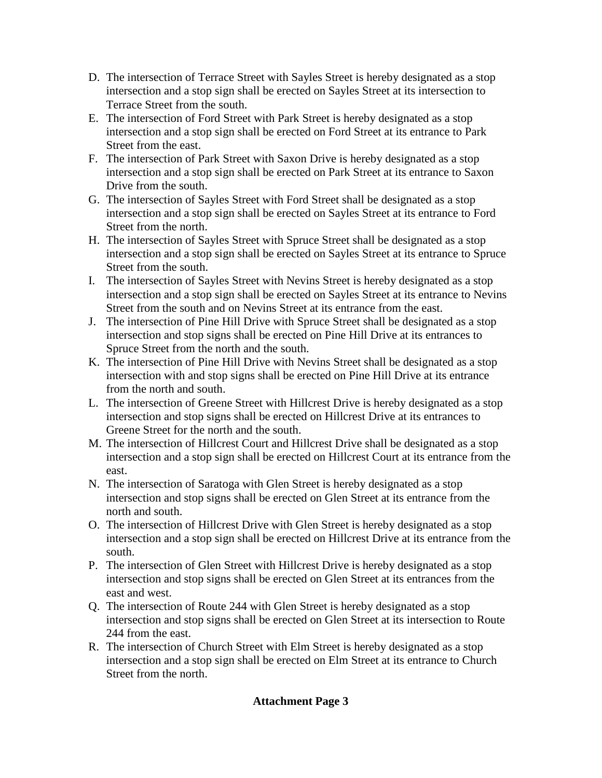- D. The intersection of Terrace Street with Sayles Street is hereby designated as a stop intersection and a stop sign shall be erected on Sayles Street at its intersection to Terrace Street from the south.
- E. The intersection of Ford Street with Park Street is hereby designated as a stop intersection and a stop sign shall be erected on Ford Street at its entrance to Park Street from the east.
- F. The intersection of Park Street with Saxon Drive is hereby designated as a stop intersection and a stop sign shall be erected on Park Street at its entrance to Saxon Drive from the south.
- G. The intersection of Sayles Street with Ford Street shall be designated as a stop intersection and a stop sign shall be erected on Sayles Street at its entrance to Ford Street from the north.
- H. The intersection of Sayles Street with Spruce Street shall be designated as a stop intersection and a stop sign shall be erected on Sayles Street at its entrance to Spruce Street from the south.
- I. The intersection of Sayles Street with Nevins Street is hereby designated as a stop intersection and a stop sign shall be erected on Sayles Street at its entrance to Nevins Street from the south and on Nevins Street at its entrance from the east.
- J. The intersection of Pine Hill Drive with Spruce Street shall be designated as a stop intersection and stop signs shall be erected on Pine Hill Drive at its entrances to Spruce Street from the north and the south.
- K. The intersection of Pine Hill Drive with Nevins Street shall be designated as a stop intersection with and stop signs shall be erected on Pine Hill Drive at its entrance from the north and south.
- L. The intersection of Greene Street with Hillcrest Drive is hereby designated as a stop intersection and stop signs shall be erected on Hillcrest Drive at its entrances to Greene Street for the north and the south.
- M. The intersection of Hillcrest Court and Hillcrest Drive shall be designated as a stop intersection and a stop sign shall be erected on Hillcrest Court at its entrance from the east.
- N. The intersection of Saratoga with Glen Street is hereby designated as a stop intersection and stop signs shall be erected on Glen Street at its entrance from the north and south.
- O. The intersection of Hillcrest Drive with Glen Street is hereby designated as a stop intersection and a stop sign shall be erected on Hillcrest Drive at its entrance from the south.
- P. The intersection of Glen Street with Hillcrest Drive is hereby designated as a stop intersection and stop signs shall be erected on Glen Street at its entrances from the east and west.
- Q. The intersection of Route 244 with Glen Street is hereby designated as a stop intersection and stop signs shall be erected on Glen Street at its intersection to Route 244 from the east.
- R. The intersection of Church Street with Elm Street is hereby designated as a stop intersection and a stop sign shall be erected on Elm Street at its entrance to Church Street from the north.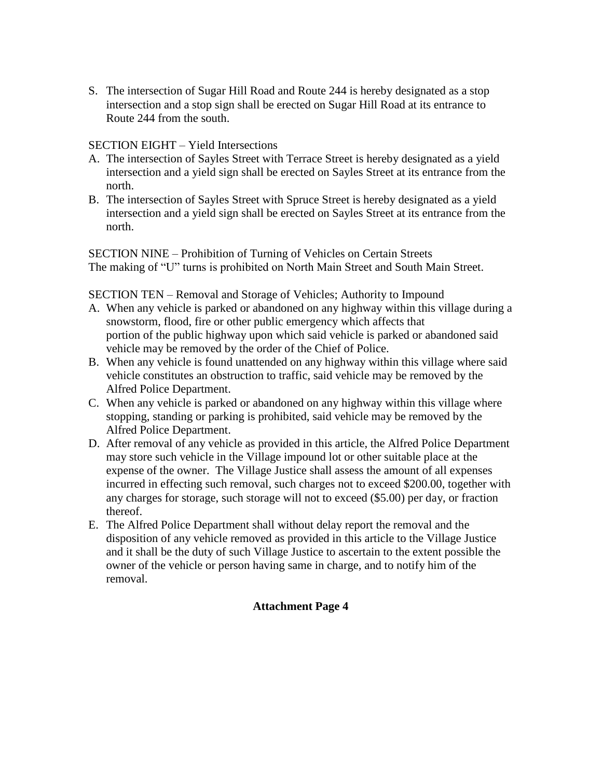S. The intersection of Sugar Hill Road and Route 244 is hereby designated as a stop intersection and a stop sign shall be erected on Sugar Hill Road at its entrance to Route 244 from the south.

## $SECTION EIGHT - Yield Intersections$

- A. The intersection of Sayles Street with Terrace Street is hereby designated as a yield intersection and a yield sign shall be erected on Sayles Street at its entrance from the north.
- B. The intersection of Sayles Street with Spruce Street is hereby designated as a yield intersection and a yield sign shall be erected on Sayles Street at its entrance from the north.

SECTION NINE - Prohibition of Turning of Vehicles on Certain Streets SECTION NINE – Prohibition of Turning of Vehicles on Certain Streets<br>The making of "U" turns is prohibited on North Main Street and South Main Street. The making of "U" turns is prohibited on North Main Street and South Main Street.<br>SECTION TEN – Removal and Storage of Vehicles; Authority to Impound

- A. When any vehicle is parked or abandoned on any highway within this village during a snowstorm, flood, fire or other public emergency which affects that portion of the public highway upon which said vehicle is parked or abandoned said vehicle may be removed by the order of the Chief of Police.
- B. When any vehicle is found unattended on any highway within this village where said vehicle constitutes an obstruction to traffic, said vehicle may be removed by the Alfred Police Department.
- C. When any vehicle is parked or abandoned on any highway within this village where stopping, standing or parking is prohibited, said vehicle may be removed by the Alfred Police Department.
- D. After removal of any vehicle as provided in this article, the Alfred Police Department may store such vehicle in the Village impound lot or other suitable place at the expense of the owner. The Village Justice shall assess the amount of all expenses incurred in effecting such removal, such charges not to exceed \$200.00, together with any charges for storage, such storage will not to exceed (\$5.00) per day, or fraction thereof.
- E. The Alfred Police Department shall without delay report the removal and the disposition of any vehicle removed as provided in this article to the Village Justice and it shall be the duty of such Village Justice to ascertain to the extent possible the owner of the vehicle or person having same in charge, and to notify him of the removal.